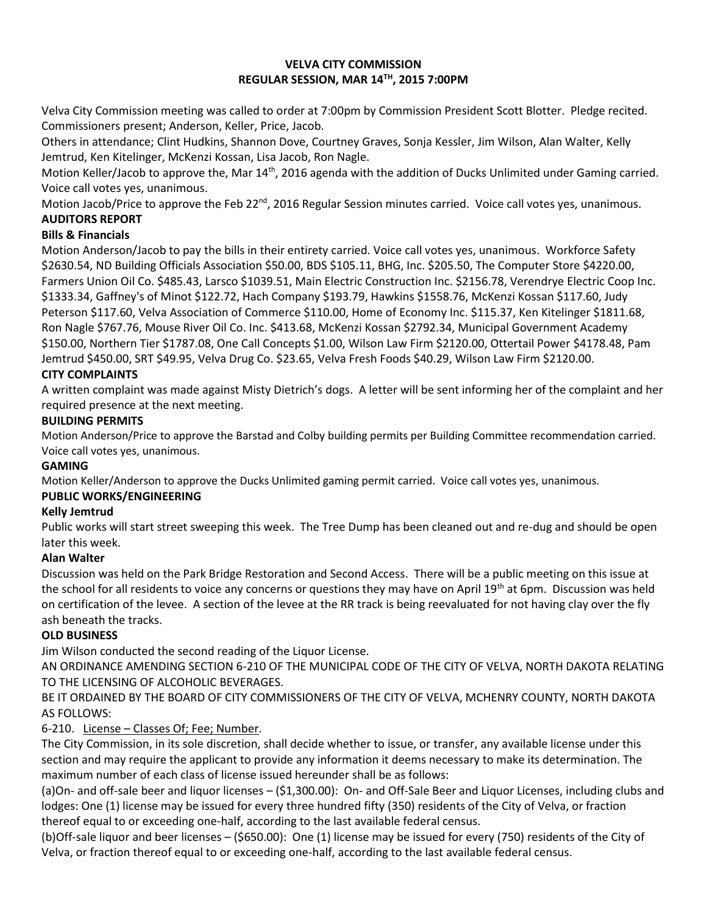### **VELVA CITY COMMISSION REGULAR SESSION, MAR 14TH, 2015 7:00PM**

Velva City Commission meeting was called to order at 7:00pm by Commission President Scott Blotter. Pledge recited. Commissioners present; Anderson, Keller, Price, Jacob.

Others in attendance; Clint Hudkins, Shannon Dove, Courtney Graves, Sonja Kessler, Jim Wilson, Alan Walter, Kelly Jemtrud, Ken Kitelinger, McKenzi Kossan, Lisa Jacob, Ron Nagle.

Motion Keller/Jacob to approve the, Mar 14<sup>th</sup>, 2016 agenda with the addition of Ducks Unlimited under Gaming carried. Voice call votes yes, unanimous.

Motion Jacob/Price to approve the Feb 22<sup>nd</sup>, 2016 Regular Session minutes carried. Voice call votes yes, unanimous. **AUDITORS REPORT**

## **Bills & Financials**

Motion Anderson/Jacob to pay the bills in their entirety carried. Voice call votes yes, unanimous. Workforce Safety \$2630.54, ND Building Officials Association \$50.00, BDS \$105.11, BHG, Inc. \$205.50, The Computer Store \$4220.00, Farmers Union Oil Co. \$485.43, Larsco \$1039.51, Main Electric Construction Inc. \$2156.78, Verendrye Electric Coop Inc. \$1333.34, Gaffney's of Minot \$122.72, Hach Company \$193.79, Hawkins \$1558.76, McKenzi Kossan \$117.60, Judy Peterson \$117.60, Velva Association of Commerce \$110.00, Home of Economy Inc. \$115.37, Ken Kitelinger \$1811.68, Ron Nagle \$767.76, Mouse River Oil Co. Inc. \$413.68, McKenzi Kossan \$2792.34, Municipal Government Academy \$150.00, Northern Tier \$1787.08, One Call Concepts \$1.00, Wilson Law Firm \$2120.00, Ottertail Power \$4178.48, Pam Jemtrud \$450.00, SRT \$49.95, Velva Drug Co. \$23.65, Velva Fresh Foods \$40.29, Wilson Law Firm \$2120.00.

## **CITY COMPLAINTS**

A written complaint was made against Misty Dietrich's dogs. A letter will be sent informing her of the complaint and her required presence at the next meeting.

## **BUILDING PERMITS**

Motion Anderson/Price to approve the Barstad and Colby building permits per Building Committee recommendation carried. Voice call votes yes, unanimous.

### **GAMING**

Motion Keller/Anderson to approve the Ducks Unlimited gaming permit carried. Voice call votes yes, unanimous.

## **PUBLIC WORKS/ENGINEERING**

### **Kelly Jemtrud**

Public works will start street sweeping this week. The Tree Dump has been cleaned out and re-dug and should be open later this week.

### **Alan Walter**

Discussion was held on the Park Bridge Restoration and Second Access. There will be a public meeting on this issue at the school for all residents to voice any concerns or questions they may have on April 19<sup>th</sup> at 6pm. Discussion was held on certification of the levee. A section of the levee at the RR track is being reevaluated for not having clay over the fly ash beneath the tracks.

### **OLD BUSINESS**

Jim Wilson conducted the second reading of the Liquor License.

AN ORDINANCE AMENDING SECTION 6-210 OF THE MUNICIPAL CODE OF THE CITY OF VELVA, NORTH DAKOTA RELATING TO THE LICENSING OF ALCOHOLIC BEVERAGES.

BE IT ORDAINED BY THE BOARD OF CITY COMMISSIONERS OF THE CITY OF VELVA, MCHENRY COUNTY, NORTH DAKOTA AS FOLLOWS:

## 6-210. License – Classes Of; Fee; Number.

The City Commission, in its sole discretion, shall decide whether to issue, or transfer, any available license under this section and may require the applicant to provide any information it deems necessary to make its determination. The maximum number of each class of license issued hereunder shall be as follows:

(a)On- and off-sale beer and liquor licenses – (\$1,300.00): On- and Off-Sale Beer and Liquor Licenses, including clubs and lodges: One (1) license may be issued for every three hundred fifty (350) residents of the City of Velva, or fraction thereof equal to or exceeding one-half, according to the last available federal census.

(b)Off-sale liquor and beer licenses – (\$650.00): One (1) license may be issued for every (750) residents of the City of Velva, or fraction thereof equal to or exceeding one-half, according to the last available federal census.